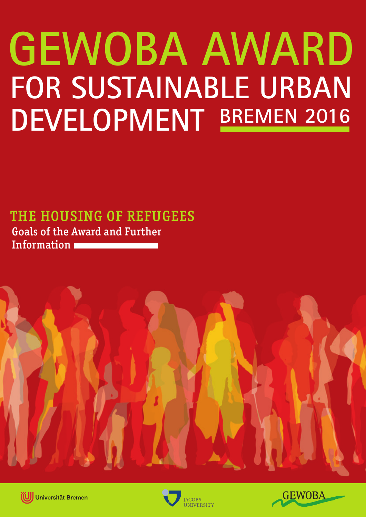# **FOR SUSTAINABLE URBAN DEVELOPMENT BREMEN 2016GEWOBA AWARD**

# THE HOUSING OF REFUGEES Goals of the Award and Further

Information







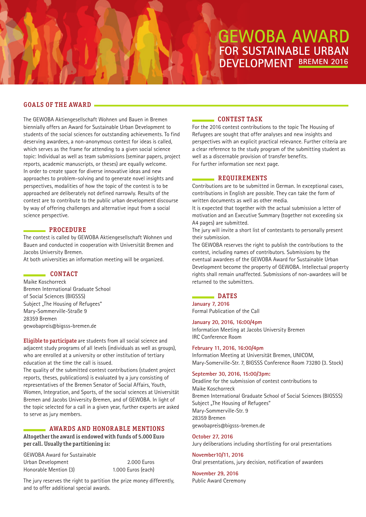# GOALS OF THE AWARD

The GEWOBA Aktiengesellschaft Wohnen und Bauen in Bremen biennially offers an Award for Sustainable Urban Development to students of the social sciences for outstanding achievements. To find deserving awardees, a non-anonymous contest for ideas is called, which serves as the frame for attending to a given social science topic: Individual as well as team submissions (seminar papers, project reports, academic manuscripts, or theses) are equally welcome. In order to create space for diverse innovative ideas and new approaches to problem-solving and to generate novel insights and perspectives, modalities of how the topic of the contest is to be approached are deliberately not defined narrowly. Results of the contest are to contribute to the public urban development discourse by way of offering challenges and alternative input from a social science perspective.

#### PROCEDURE

The contest is called by GEWOBA Aktiengesellschaft Wohnen und Bauen and conducted in cooperation with Universität Bremen and Jacobs University Bremen.

At both universities an information meeting will be organized.

#### CONTACT

Maike Koschorreck Bremen International Graduate School of Social Sciences (BIGSSS) Subject "The Housing of Refugees" Mary-Sommerville-Straße 9 28359 Bremen gewobapreis@bigsss-bremen.de

Eligible to participate are students from all social science and adiacent study programs of all levels (individuals as well as groups). who are enrolled at a university or other institution of tertiary education at the time the call is issued.

The quality of the submitted contest contributions (student project reports, theses, publications) is evaluated by a jury consisting of representatives of the Bremen Senator of Social Affairs, Youth, Women, Integration, and Sports, of the social sciences at Universität Bremen and Jacobs University Bremen, and of GEWOBA. In light of the topic selected for a call in a given year, further experts are asked to serve as jury members.

# AWARDS AND HONORABLE MENTIONS

Altogether the award is endowed with funds of 5.000 Euro per call. Usually the partitioning is:

GEWOBA Award for Sustainable Urban Development 2.000 Euros Honorable Mention (3) 1.000 Euros (each)

The jury reserves the right to partition the prize money differently, and to offer additional special awards.

## CONTEST TASK

For the 2016 contest contributions to the topic The Housing of Refugees are sought that offer analyses and new insights and perspectives with an explicit practical relevance. Further criteria are a clear reference to the study program of the submitting student as well as a discernable provision of transfer benefits. For further information see next page.

## REQUIREMENTS

Contributions are to be submitted in German. In exceptional cases, contributions in English are possible. They can take the form of written documents as well as other media.

It is expected that together with the actual submission a letter of motivation and an Executive Summary (together not exceeding six A4 pages) are submitted.

The jury will invite a short list of contestants to personally present their submission.

The GEWOBA reserves the right to publish the contributions to the contest, including names of contributors. Submissions by the eventual awardees of the GEWOBA Award for Sustainable Urban Development become the property of GEWOBA. Intellectual property rights shall remain unaffected. Submissions of non-awardees will be returned to the submitters.

#### DATES

**January 7, 2016** Formal Publication of the Call

#### **January 20, 2016, 16:00/4pm**

Information Meeting at Jacobs University Bremen IRC Conference Room

#### **February 11, 2016, 16:00/4pm**

Information Meeting at Universität Bremen, UNICOM, Mary-Somerville-Str. 7, BIGSSS Conference Room 73280 (3. Stock)

#### **September 30, 2016, 15:00/3pm:**

Deadline for the submission of contest contributions to Maike Koschorreck Bremen International Graduate School of Social Sciences (BIGSSS) Subject ..The Housing of Refugees" Mary-Sommerville-Str. 9 28359 Bremen gewobapreis@bigsss-bremen.de

# **October 27, 2016**

Jury deliberations including shortlisting for oral presentations

**November10/11, 2016**

Oral presentations, jury decision, notification of awardees

**November 29, 2016** Public Award Ceremony